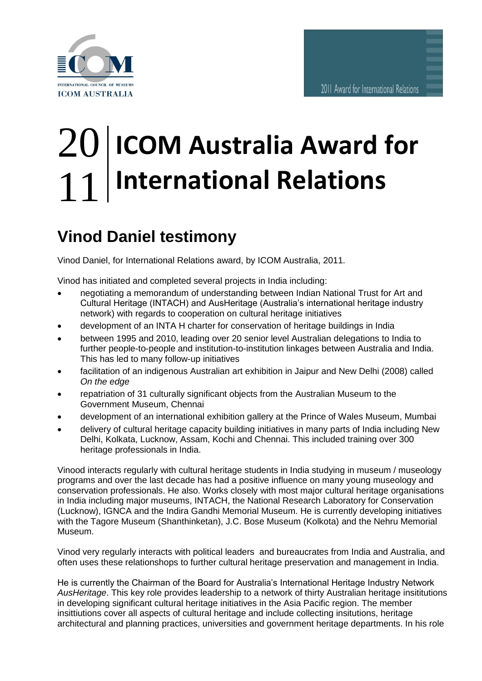

## **ICOM Australia Award for International Relations** 20 11

## **Vinod Daniel testimony** Vin

Vinod Daniel, for International Relations award, by ICOM Australia, 2011.

Vinod has initiated and completed several projects in India including:

- negotiating a memorandum of understanding between Indian National Trust for Art and Cultural Heritage (INTACH) and AusHeritage (Australia's international heritage industry network) with regards to cooperation on cultural heritage initiatives
- development of an INTA H charter for conservation of heritage buildings in India
- between 1995 and 2010, leading over 20 senior level Australian delegations to India to further people-to-people and institution-to-institution linkages between Australia and India. This has led to many follow-up initiatives
- facilitation of an indigenous Australian art exhibition in Jaipur and New Delhi (2008) called *On the edge*
- repatriation of 31 culturally significant objects from the Australian Museum to the Government Museum, Chennai
- development of an international exhibition gallery at the Prince of Wales Museum, Mumbai
- delivery of cultural heritage capacity building initiatives in many parts of India including New Delhi, Kolkata, Lucknow, Assam, Kochi and Chennai. This included training over 300 heritage professionals in India.

Vinood interacts regularly with cultural heritage students in India studying in museum / museology programs and over the last decade has had a positive influence on many young museology and conservation professionals. He also. Works closely with most major cultural heritage organisations in India including major museums, INTACH, the National Research Laboratory for Conservation (Lucknow), IGNCA and the Indira Gandhi Memorial Museum. He is currently developing initiatives with the Tagore Museum (Shanthinketan), J.C. Bose Museum (Kolkota) and the Nehru Memorial Museum.

Vinod very regularly interacts with political leaders and bureaucrates from India and Australia, and often uses these relationshops to further cultural heritage preservation and management in India.

He is currently the Chairman of the Board for Australia's International Heritage Industry Network *AusHeritage*. This key role provides leadership to a network of thirty Australian heritage insititutions in developing significant cultural heritage initiatives in the Asia Pacific region. The member insittiutions cover all aspects of cultural heritage and include collecting insitutions, heritage architectural and planning practices, universities and government heritage departments. In his role